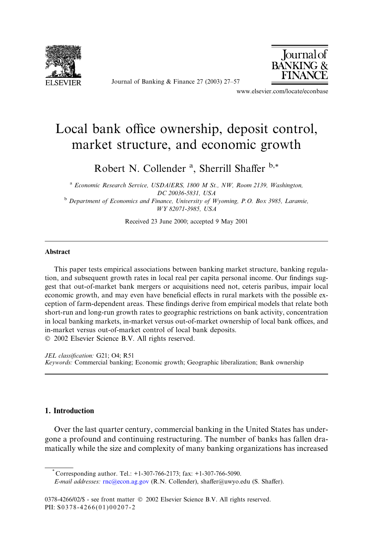

Journal of Banking & Finance 27 (2003) 27–57



www.elsevier.com/locate/econbase

## Local bank office ownership, deposit control, market structure, and economic growth

Robert N. Collender<sup>a</sup>, Sherrill Shaffer<sup>b,\*</sup>

<sup>a</sup> Economic Research Service, USDA/ERS, 1800 M St., NW, Room 2139, Washington, DC20036-5831, USA

<sup>b</sup> Department of Economics and Finance, University of Wyoming, P.O. Box 3985, Laramie, WY 82071-3985, USA

Received 23June 2000; accepted 9 May 2001

## Abstract

This paper tests empirical associations between banking market structure, banking regulation, and subsequent growth rates in local real per capita personal income. Our findings suggest that out-of-market bank mergers or acquisitions need not, ceteris paribus, impair local economic growth, and may even have beneficial effects in rural markets with the possible exception of farm-dependent areas. These findings derive from empirical models that relate both short-run and long-run growth rates to geographic restrictions on bank activity, concentration in local banking markets, in-market versus out-of-market ownership of local bank offices, and in-market versus out-of-market control of local bank deposits. 2002 Elsevier Science B.V. All rights reserved.

JEL classification: G21; O4; R51 Keywords: Commercial banking; Economic growth; Geographic liberalization; Bank ownership

## 1. Introduction

Over the last quarter century, commercial banking in the United States has undergone a profound and continuing restructuring. The number of banks has fallen dramatically while the size and complexity of many banking organizations has increased

Corresponding author. Tel.: +1-307-766-2173; fax: +1-307-766-5090.

E-mail addresses: [rnc@econ.ag.gov](mail to: rnc@econ.ag.gov) (R.N. Collender), shaffer@uwyo.edu (S. Shaffer).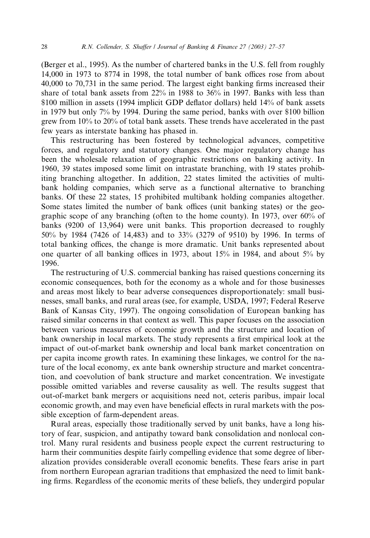(Berger et al., 1995). As the number of chartered banks in the U.S. fell from roughly 14,000 in 1973 to 8774 in 1998, the total number of bank offices rose from about 40,000 to 70,731 in the same period. The largest eight banking firms increased their share of total bank assets from 22% in 1988 to 36% in 1997. Banks with less than \$100 million in assets (1994 implicit GDP deflator dollars) held 14% of bank assets in 1979 but only 7% by 1994. During the same period, banks with over \$100 billion grew from 10% to 20% of total bank assets. These trends have accelerated in the past few years as interstate banking has phased in.

This restructuring has been fostered by technological advances, competitive forces, and regulatory and statutory changes. One major regulatory change has been the wholesale relaxation of geographic restrictions on banking activity. In 1960, 39 states imposed some limit on intrastate branching, with 19 states prohibiting branching altogether. In addition, 22 states limited the activities of multibank holding companies, which serve as a functional alternative to branching banks. Of these 22 states, 15 prohibited multibank holding companies altogether. Some states limited the number of bank offices (unit banking states) or the geographic scope of any branching (often to the home county). In 1973, over 60% of banks (9200 of 13,964) were unit banks. This proportion decreased to roughly 50% by 1984 (7426 of 14,483) and to 33% (3279 of 9510) by 1996. In terms of total banking offices, the change is more dramatic. Unit banks represented about one quarter of all banking offices in 1973, about 15% in 1984, and about 5% by 1996.

The restructuring of U.S. commercial banking has raised questions concerning its economic consequences, both for the economy as a whole and for those businesses and areas most likely to bear adverse consequences disproportionately: small businesses, small banks, and rural areas (see, for example, USDA, 1997; Federal Reserve Bank of Kansas City, 1997). The ongoing consolidation of European banking has raised similar concerns in that context as well. This paper focuses on the association between various measures of economic growth and the structure and location of bank ownership in local markets. The study represents a first empirical look at the impact of out-of-market bank ownership and local bank market concentration on per capita income growth rates. In examining these linkages, we control for the nature of the local economy, ex ante bank ownership structure and market concentration, and coevolution of bank structure and market concentration. We investigate possible omitted variables and reverse causality as well. The results suggest that out-of-market bank mergers or acquisitions need not, ceteris paribus, impair local economic growth, and may even have beneficial effects in rural markets with the possible exception of farm-dependent areas.

Rural areas, especially those traditionally served by unit banks, have a long history of fear, suspicion, and antipathy toward bank consolidation and nonlocal control. Many rural residents and business people expect the current restructuring to harm their communities despite fairly compelling evidence that some degree of liberalization provides considerable overall economic benefits. These fears arise in part from northern European agrarian traditions that emphasized the need to limit banking firms. Regardless of the economic merits of these beliefs, they undergird popular